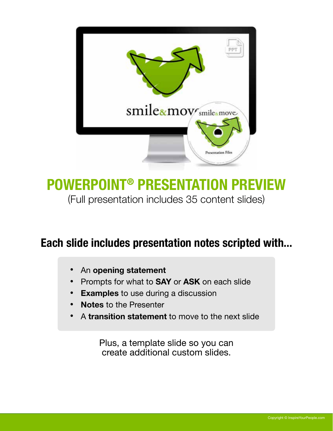

### POWERPOINT® PRESENTATION PREVIEW (Full presentation includes 35 content slides)

### Each slide includes presentation notes scripted with...

- An opening statement •
- Prompts for what to **SAY** or ASK on each slide •
- **Examples** to use during a discussion •
- Notes to the Presenter •
- A transition statement to move to the next slide

Plus, a template slide so you can create additional custom slides.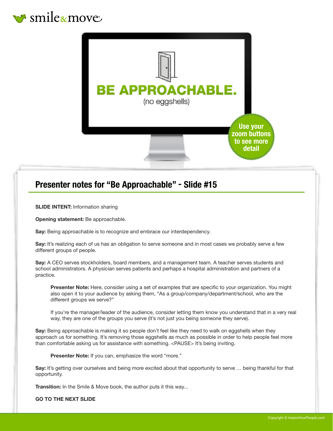



#### Presenter notes for "Be Approachable" - Slide #15

**SLIDE INTENT:** Information sharing

Opening statement: Be approachable.

Say: Being approachable is to recognize and embrace our interdependency.

Say: It's realizing each of us has an obligation to serve someone and in most cases we probably serve a few different groups of people.

Say: A CEO serves stockholders, board members, and a management team. A teacher serves students and school administrators. A physician serves patients and perhaps a hospital administration and partners of a practice.

Presenter Note: Here, consider using a set of examples that are specific to your organization. You might also open it to your audience by asking them, "As a group/company/department/school, who are the different groups we serve?"

If you're the manager/leader of the audience, consider letting them know you understand that in a very real way, they are one of the groups you serve (it's not just you being someone they serve).

Say: Being approachable is making it so people don't feel like they need to walk on eggshells when they approach us for something. It's removing those eggshells as much as possible in order to help people feel more than comfortable asking us for assistance with something. <PAUSE> It's being inviting.

Presenter Note: If you can, emphasize the word "more."

Say: It's getting over ourselves and being more excited about that opportunity to serve ... being thankful for that opportunity.

Transition: In the Smile & Move book, the author puts it this way...

GO TO THE NEXT SLIDE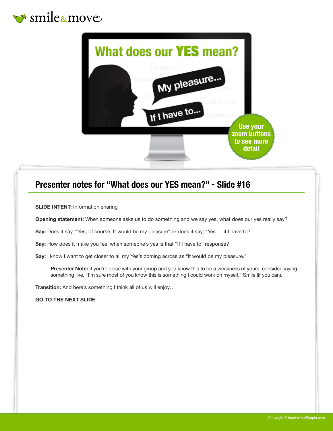



#### Presenter notes for "What does our YES mean?" - Slide #16

**SLIDE INTENT: Information sharing** 

Opening statement: When someone asks us to do something and we say yes, what does our yes really say?

Say: Does it say, "Yes, of course, It would be my pleasure" or does it say, "Yes … if I have to?"

Say: How does it make you feel when someone's yes is that "If I have to" response?

Say: I know I want to get closer to all my Yes's coming across as "it would be my pleasure."

Presenter Note: If you're close with your group and you know this to be a weakness of yours, consider saying something like, "I'm sure most of you know this is something I could work on myself." Smile (if you can).

Transition: And here's something I think all of us will enjoy...

GO TO THE NEXT SLIDE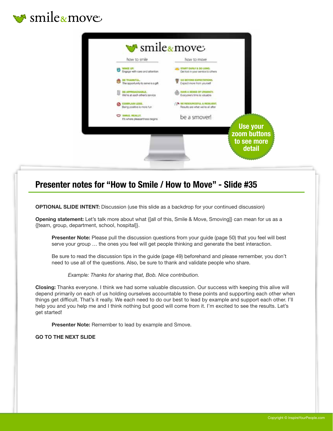



#### Presenter notes for "How to Smile / How to Move" - Slide #35

OPTIONAL SLIDE INTENT: Discussion (use this slide as a backdrop for your continued discussion)

Opening statement: Let's talk more about what {[all of this, Smile & Move, Smoving]} can mean for us as a {[team, group, department, school, hospital]}.

**Presenter Note:** Please pull the discussion questions from your guide (page 50) that you feel will best serve your group … the ones you feel will get people thinking and generate the best interaction.

Be sure to read the discussion tips in the guide (page 49) beforehand and please remember, you don't need to use all of the questions. Also, be sure to thank and validate people who share.

*Example: Thanks for sharing that, Bob. Nice contribution.*

Closing: Thanks everyone. I think we had some valuable discussion. Our success with keeping this alive will depend primarily on each of us holding ourselves accountable to these points and supporting each other when things get difficult. That's it really. We each need to do our best to lead by example and support each other. I'll help you and you help me and I think nothing but good will come from it. I'm excited to see the results. Let's get started!

Presenter Note: Remember to lead by example and Smove.

GO TO THE NEXT SLIDE